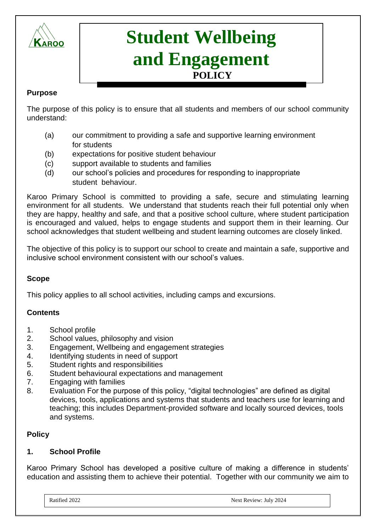

# **Student Wellbeing and Engagement POLICY**

#### **Purpose**

The purpose of this policy is to ensure that all students and members of our school community understand:

- (a) our commitment to providing a safe and supportive learning environment for students
- (b) expectations for positive student behaviour
- (c) support available to students and families
- (d) our school's policies and procedures for responding to inappropriate student behaviour.

Karoo Primary School is committed to providing a safe, secure and stimulating learning environment for all students. We understand that students reach their full potential only when they are happy, healthy and safe, and that a positive school culture, where student participation is encouraged and valued, helps to engage students and support them in their learning. Our school acknowledges that student wellbeing and student learning outcomes are closely linked.

The objective of this policy is to support our school to create and maintain a safe, supportive and inclusive school environment consistent with our school's values.

# **Scope**

This policy applies to all school activities, including camps and excursions.

# **Contents**

- 1. School profile
- 2. School values, philosophy and vision
- 3. Engagement, Wellbeing and engagement strategies
- 4. Identifying students in need of support
- 5. Student rights and responsibilities
- 6. Student behavioural expectations and management
- 7. Engaging with families
- 8. Evaluation For the purpose of this policy, "digital technologies" are defined as digital devices, tools, applications and systems that students and teachers use for learning and teaching; this includes Department-provided software and locally sourced devices, tools and systems.

# **Policy**

# **1. School Profile**

Karoo Primary School has developed a positive culture of making a difference in students' education and assisting them to achieve their potential. Together with our community we aim to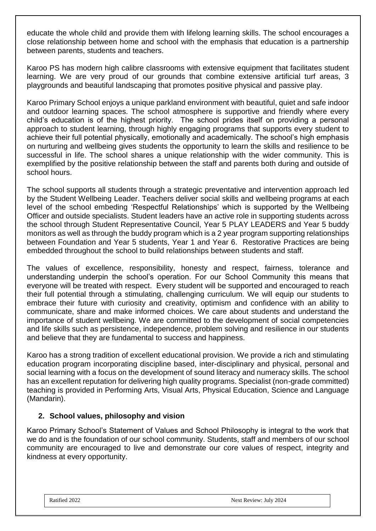educate the whole child and provide them with lifelong learning skills. The school encourages a close relationship between home and school with the emphasis that education is a partnership between parents, students and teachers.

Karoo PS has modern high calibre classrooms with extensive equipment that facilitates student learning. We are very proud of our grounds that combine extensive artificial turf areas, 3 playgrounds and beautiful landscaping that promotes positive physical and passive play.

Karoo Primary School enjoys a unique parkland environment with beautiful, quiet and safe indoor and outdoor learning spaces. The school atmosphere is supportive and friendly where every child's education is of the highest priority. The school prides itself on providing a personal approach to student learning, through highly engaging programs that supports every student to achieve their full potential physically, emotionally and academically. The school's high emphasis on nurturing and wellbeing gives students the opportunity to learn the skills and resilience to be successful in life. The school shares a unique relationship with the wider community. This is exemplified by the positive relationship between the staff and parents both during and outside of school hours.

The school supports all students through a strategic preventative and intervention approach led by the Student Wellbeing Leader. Teachers deliver social skills and wellbeing programs at each level of the school embeding 'Respectful Relationships' which is supported by the Wellbeing Officer and outside specialists. Student leaders have an active role in supporting students across the school through Student Representative Council, Year 5 PLAY LEADERS and Year 5 buddy monitors as well as through the buddy program which is a 2 year program supporting relationships between Foundation and Year 5 students, Year 1 and Year 6. Restorative Practices are being embedded throughout the school to build relationships between students and staff.

The values of excellence, responsibility, honesty and respect, fairness, tolerance and understanding underpin the school's operation. For our School Community this means that everyone will be treated with respect. Every student will be supported and encouraged to reach their full potential through a stimulating, challenging curriculum. We will equip our students to embrace their future with curiosity and creativity, optimism and confidence with an ability to communicate, share and make informed choices. We care about students and understand the importance of student wellbeing. We are committed to the development of social competencies and life skills such as persistence, independence, problem solving and resilience in our students and believe that they are fundamental to success and happiness.

Karoo has a strong tradition of excellent educational provision. We provide a rich and stimulating education program incorporating discipline based, inter-disciplinary and physical, personal and social learning with a focus on the development of sound literacy and numeracy skills. The school has an excellent reputation for delivering high quality programs. Specialist (non-grade committed) teaching is provided in Performing Arts, Visual Arts, Physical Education, Science and Language (Mandarin).

# **2. School values, philosophy and vision**

Karoo Primary School's Statement of Values and School Philosophy is integral to the work that we do and is the foundation of our school community. Students, staff and members of our school community are encouraged to live and demonstrate our core values of respect, integrity and kindness at every opportunity.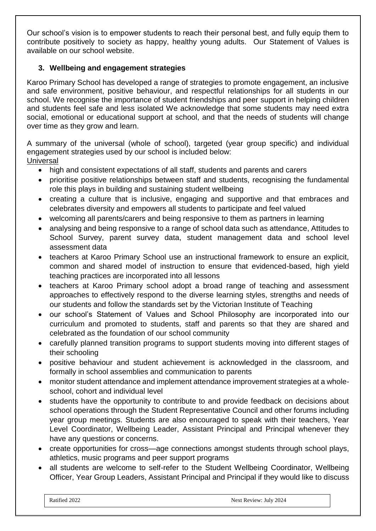Our school's vision is to empower students to reach their personal best, and fully equip them to contribute positively to society as happy, healthy young adults. Our Statement of Values is available on our school website.

# **3. Wellbeing and engagement strategies**

Karoo Primary School has developed a range of strategies to promote engagement, an inclusive and safe environment, positive behaviour, and respectful relationships for all students in our school. We recognise the importance of student friendships and peer support in helping children and students feel safe and less isolated We acknowledge that some students may need extra social, emotional or educational support at school, and that the needs of students will change over time as they grow and learn.

A summary of the universal (whole of school), targeted (year group specific) and individual engagement strategies used by our school is included below:

**Universal** 

- high and consistent expectations of all staff, students and parents and carers
- prioritise positive relationships between staff and students, recognising the fundamental role this plays in building and sustaining student wellbeing
- creating a culture that is inclusive, engaging and supportive and that embraces and celebrates diversity and empowers all students to participate and feel valued
- welcoming all parents/carers and being responsive to them as partners in learning
- analysing and being responsive to a range of school data such as attendance, Attitudes to School Survey, parent survey data, student management data and school level assessment data
- teachers at Karoo Primary School use an instructional framework to ensure an explicit, common and shared model of instruction to ensure that evidenced-based, high yield teaching practices are incorporated into all lessons
- teachers at Karoo Primary school adopt a broad range of teaching and assessment approaches to effectively respond to the diverse learning styles, strengths and needs of our students and follow the standards set by the Victorian Institute of Teaching
- our school's Statement of Values and School Philosophy are incorporated into our curriculum and promoted to students, staff and parents so that they are shared and celebrated as the foundation of our school community
- carefully planned transition programs to support students moving into different stages of their schooling
- positive behaviour and student achievement is acknowledged in the classroom, and formally in school assemblies and communication to parents
- monitor student attendance and implement attendance improvement strategies at a wholeschool, cohort and individual level
- students have the opportunity to contribute to and provide feedback on decisions about school operations through the Student Representative Council and other forums including year group meetings. Students are also encouraged to speak with their teachers, Year Level Coordinator, Wellbeing Leader, Assistant Principal and Principal whenever they have any questions or concerns.
- create opportunities for cross—age connections amongst students through school plays, athletics, music programs and peer support programs
- all students are welcome to self-refer to the Student Wellbeing Coordinator, Wellbeing Officer, Year Group Leaders, Assistant Principal and Principal if they would like to discuss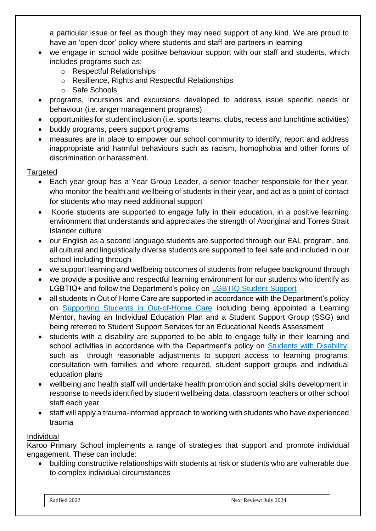a particular issue or feel as though they may need support of any kind. We are proud to have an 'open door' policy where students and staff are partners in learning

- we engage in school wide positive behaviour support with our staff and students, which includes programs such as:
	- o Respectful Relationships
	- o Resilience, Rights and Respectful Relationships
	- o Safe Schools
- programs, incursions and excursions developed to address issue specific needs or behaviour (i.e. anger management programs)
- opportunities for student inclusion (i.e. sports teams, clubs, recess and lunchtime activities)
- buddy programs, peers support programs
- measures are in place to empower our school community to identify, report and address inappropriate and harmful behaviours such as racism, homophobia and other forms of discrimination or harassment.

## **Targeted**

- Each year group has a Year Group Leader, a senior teacher responsible for their year, who monitor the health and wellbeing of students in their year, and act as a point of contact for students who may need additional support
- Koorie students are supported to engage fully in their education, in a positive learning environment that understands and appreciates the strength of Aboriginal and Torres Strait Islander culture
- our English as a second language students are supported through our EAL program, and all cultural and linguistically diverse students are supported to feel safe and included in our school including through
- we support learning and wellbeing outcomes of students from refugee background through
- we provide a positive and respectful learning environment for our students who identify as LGBTIQ+ and follow the Department's policy on LGBTIQ Student Support
- all students in Out of Home Care are supported in accordance with the Department's policy on [Supporting Students in Out-of-Home Care](https://www2.education.vic.gov.au/pal/supporting-students-out-home-care/policy) including being appointed a Learning Mentor, having an Individual Education Plan and a Student Support Group (SSG) and being referred to Student Support Services for an Educational Needs Assessment
- students with a disability are supported to be able to engage fully in their learning and school activities in accordance with the Department's policy on [Students with Disability,](https://www2.education.vic.gov.au/pal/students-disability/policy) such as through reasonable adjustments to support access to learning programs, consultation with families and where required, student support groups and individual education plans
- wellbeing and health staff will undertake health promotion and social skills development in response to needs identified by student wellbeing data, classroom teachers or other school staff each year
- staff will apply a trauma-informed approach to working with students who have experienced trauma

#### Individual

Karoo Primary School implements a range of strategies that support and promote individual engagement. These can include:

• building constructive relationships with students at risk or students who are vulnerable due to complex individual circumstances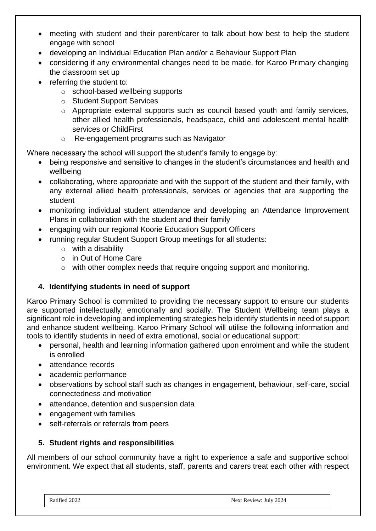- meeting with student and their parent/carer to talk about how best to help the student engage with school
- developing an Individual Education Plan and/or a Behaviour Support Plan
- considering if any environmental changes need to be made, for Karoo Primary changing the classroom set up
- referring the student to:
	- o school-based wellbeing supports
	- o Student Support Services
	- o Appropriate external supports such as council based youth and family services, other allied health professionals, headspace, child and adolescent mental health services or ChildFirst
	- o Re-engagement programs such as Navigator

Where necessary the school will support the student's family to engage by:

- being responsive and sensitive to changes in the student's circumstances and health and wellbeing
- collaborating, where appropriate and with the support of the student and their family, with any external allied health professionals, services or agencies that are supporting the student
- monitoring individual student attendance and developing an Attendance Improvement Plans in collaboration with the student and their family
- engaging with our regional Koorie Education Support Officers
- running regular Student Support Group meetings for all students:
	- $\circ$  with a disability
	- o in Out of Home Care
	- o with other complex needs that require ongoing support and monitoring.

# **4. Identifying students in need of support**

Karoo Primary School is committed to providing the necessary support to ensure our students are supported intellectually, emotionally and socially. The Student Wellbeing team plays a significant role in developing and implementing strategies help identify students in need of support and enhance student wellbeing. Karoo Primary School will utilise the following information and tools to identify students in need of extra emotional, social or educational support:

- personal, health and learning information gathered upon enrolment and while the student is enrolled
- attendance records
- academic performance
- observations by school staff such as changes in engagement, behaviour, self-care, social connectedness and motivation
- attendance, detention and suspension data
- engagement with families
- self-referrals or referrals from peers

# **5. Student rights and responsibilities**

All members of our school community have a right to experience a safe and supportive school environment. We expect that all students, staff, parents and carers treat each other with respect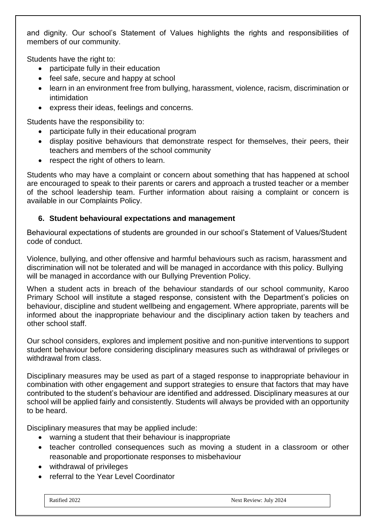and dignity. Our school's Statement of Values highlights the rights and responsibilities of members of our community.

Students have the right to:

- participate fully in their education
- feel safe, secure and happy at school
- learn in an environment free from bullying, harassment, violence, racism, discrimination or intimidation
- express their ideas, feelings and concerns.

Students have the responsibility to:

- participate fully in their educational program
- display positive behaviours that demonstrate respect for themselves, their peers, their teachers and members of the school community
- respect the right of others to learn.

Students who may have a complaint or concern about something that has happened at school are encouraged to speak to their parents or carers and approach a trusted teacher or a member of the school leadership team. Further information about raising a complaint or concern is available in our Complaints Policy.

## **6. Student behavioural expectations and management**

Behavioural expectations of students are grounded in our school's Statement of Values/Student code of conduct.

Violence, bullying, and other offensive and harmful behaviours such as racism, harassment and discrimination will not be tolerated and will be managed in accordance with this policy. Bullying will be managed in accordance with our Bullying Prevention Policy.

When a student acts in breach of the behaviour standards of our school community, Karoo Primary School will institute a staged response, consistent with the Department's policies on behaviour, discipline and student wellbeing and engagement. Where appropriate, parents will be informed about the inappropriate behaviour and the disciplinary action taken by teachers and other school staff.

Our school considers, explores and implement positive and non-punitive interventions to support student behaviour before considering disciplinary measures such as withdrawal of privileges or withdrawal from class.

Disciplinary measures may be used as part of a staged response to inappropriate behaviour in combination with other engagement and support strategies to ensure that factors that may have contributed to the student's behaviour are identified and addressed. Disciplinary measures at our school will be applied fairly and consistently. Students will always be provided with an opportunity to be heard.

Disciplinary measures that may be applied include:

- warning a student that their behaviour is inappropriate
- teacher controlled consequences such as moving a student in a classroom or other reasonable and proportionate responses to misbehaviour
- withdrawal of privileges
- referral to the Year Level Coordinator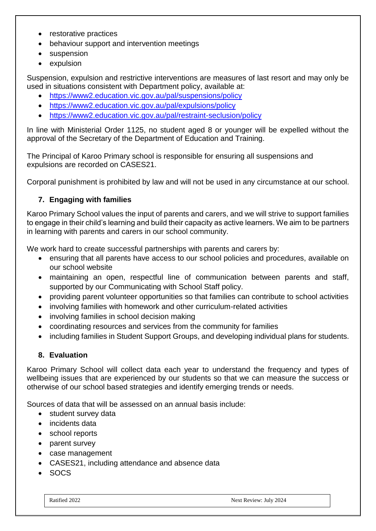- restorative practices
- behaviour support and intervention meetings
- suspension
- expulsion

Suspension, expulsion and restrictive interventions are measures of last resort and may only be used in situations consistent with Department policy, available at:

- <https://www2.education.vic.gov.au/pal/suspensions/policy>
- <https://www2.education.vic.gov.au/pal/expulsions/policy>
- <https://www2.education.vic.gov.au/pal/restraint-seclusion/policy>

In line with Ministerial Order 1125, no student aged 8 or younger will be expelled without the approval of the Secretary of the Department of Education and Training.

The Principal of Karoo Primary school is responsible for ensuring all suspensions and expulsions are recorded on CASES21.

Corporal punishment is prohibited by law and will not be used in any circumstance at our school.

# **7. Engaging with families**

Karoo Primary School values the input of parents and carers, and we will strive to support families to engage in their child's learning and build their capacity as active learners. We aim to be partners in learning with parents and carers in our school community.

We work hard to create successful partnerships with parents and carers by:

- ensuring that all parents have access to our school policies and procedures, available on our school website
- maintaining an open, respectful line of communication between parents and staff, supported by our Communicating with School Staff policy.
- providing parent volunteer opportunities so that families can contribute to school activities
- involving families with homework and other curriculum-related activities
- involving families in school decision making
- coordinating resources and services from the community for families
- including families in Student Support Groups, and developing individual plans for students.

#### **8. Evaluation**

Karoo Primary School will collect data each year to understand the frequency and types of wellbeing issues that are experienced by our students so that we can measure the success or otherwise of our school based strategies and identify emerging trends or needs.

Sources of data that will be assessed on an annual basis include:

- student survey data
- incidents data
- school reports
- parent survey
- case management
- CASES21, including attendance and absence data
- SOCS